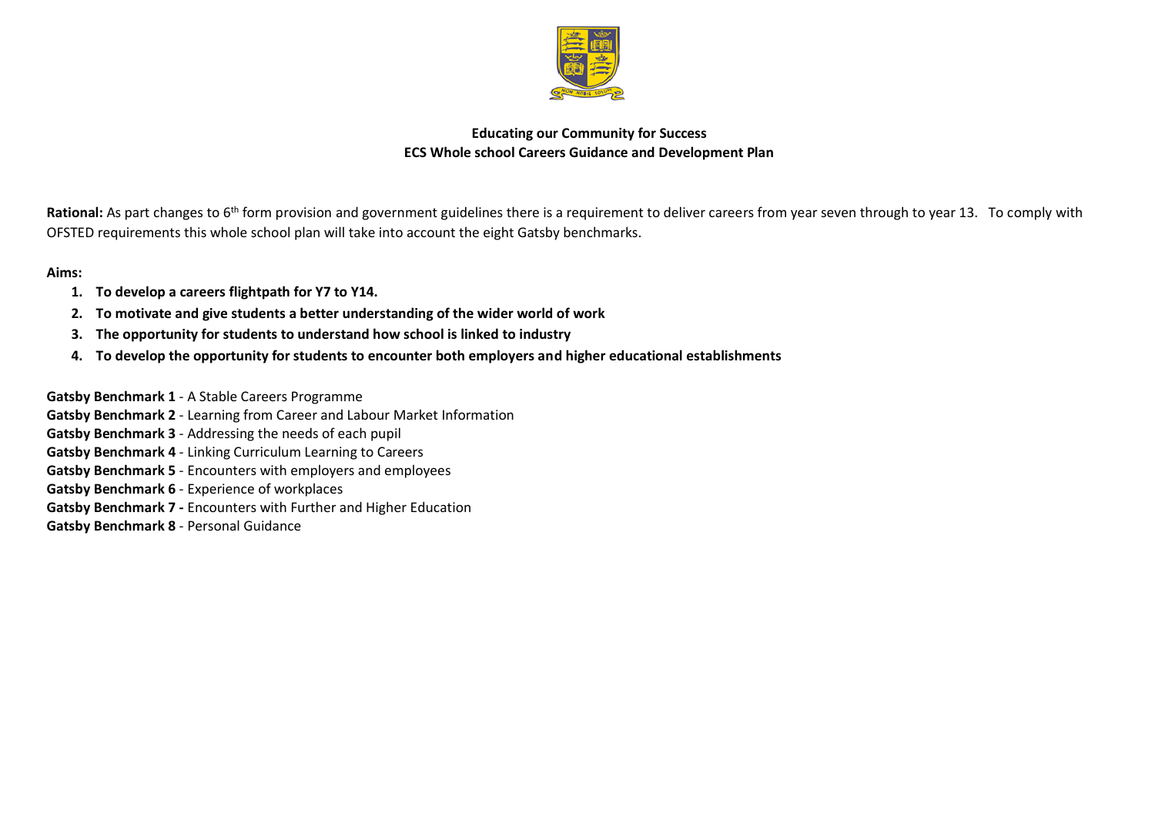

## **Educating our Community for Success ECS Whole school Careers Guidance and Development Plan**

Rational: As part changes to 6<sup>th</sup> form provision and government guidelines there is a requirement to deliver careers from year seven through to year 13. To comply with OFSTED requirements this whole school plan will take into account the eight Gatsby benchmarks.

## **Aims:**

- **1. To develop a careers flightpath for Y7 to Y14.**
- **2. To motivate and give students a better understanding of the wider world of work**
- **3. The opportunity for students to understand how school is linked to industry**
- **4. To develop the opportunity for students to encounter both employers and higher educational establishments**

**Gatsby Benchmark 1** - A Stable Careers Programme

- **Gatsby Benchmark 2** Learning from Career and Labour Market Information
- **Gatsby Benchmark 3** Addressing the needs of each pupil
- **Gatsby Benchmark 4** Linking Curriculum Learning to Careers
- **Gatsby Benchmark 5** Encounters with employers and employees
- **Gatsby Benchmark 6** Experience of workplaces
- **Gatsby Benchmark 7 -** Encounters with Further and Higher Education
- **Gatsby Benchmark 8** Personal Guidance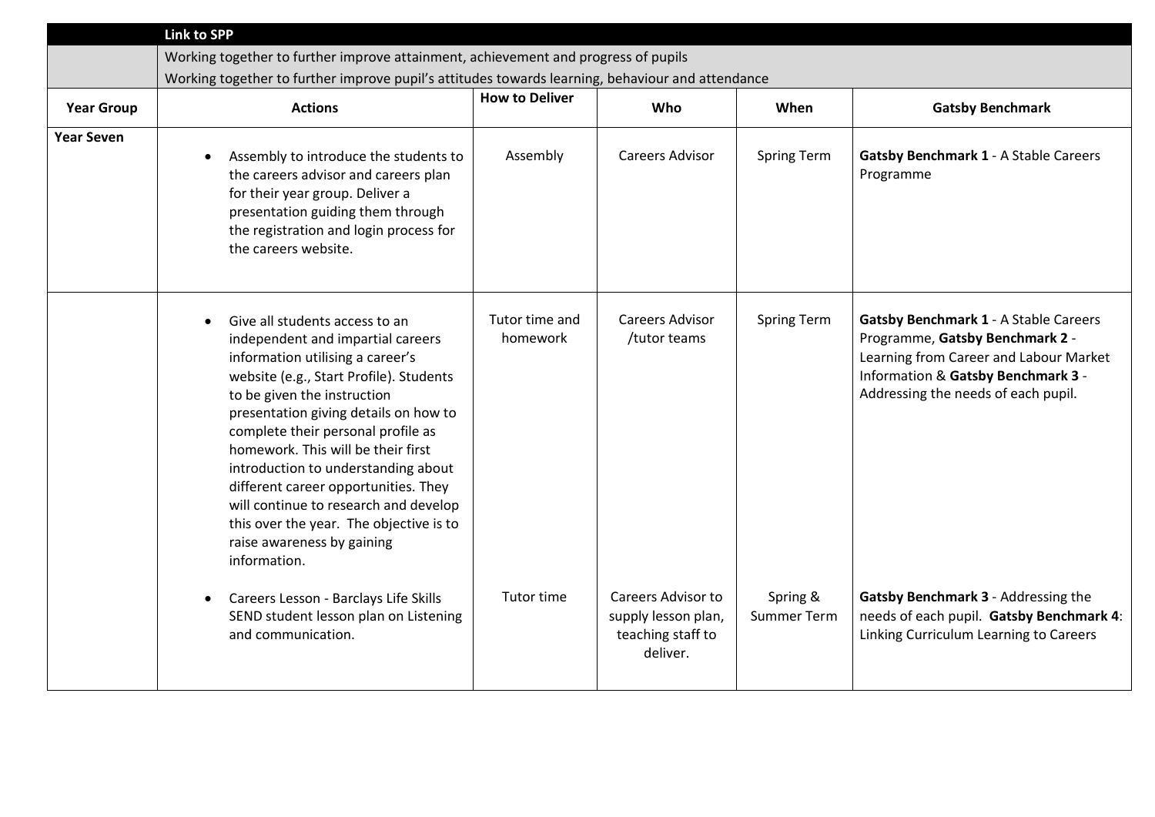|                   | <b>Link to SPP</b>                                                                                                                                                                                                                                                                                                                                                                                                                                                                                                      |                            |                                                                            |                                |                                                                                                                                                                                                        |
|-------------------|-------------------------------------------------------------------------------------------------------------------------------------------------------------------------------------------------------------------------------------------------------------------------------------------------------------------------------------------------------------------------------------------------------------------------------------------------------------------------------------------------------------------------|----------------------------|----------------------------------------------------------------------------|--------------------------------|--------------------------------------------------------------------------------------------------------------------------------------------------------------------------------------------------------|
|                   | Working together to further improve attainment, achievement and progress of pupils                                                                                                                                                                                                                                                                                                                                                                                                                                      |                            |                                                                            |                                |                                                                                                                                                                                                        |
|                   | Working together to further improve pupil's attitudes towards learning, behaviour and attendance                                                                                                                                                                                                                                                                                                                                                                                                                        |                            |                                                                            |                                |                                                                                                                                                                                                        |
| <b>Year Group</b> | <b>Actions</b>                                                                                                                                                                                                                                                                                                                                                                                                                                                                                                          | <b>How to Deliver</b>      | Who                                                                        | When                           | <b>Gatsby Benchmark</b>                                                                                                                                                                                |
| <b>Year Seven</b> | Assembly to introduce the students to<br>the careers advisor and careers plan<br>for their year group. Deliver a<br>presentation guiding them through<br>the registration and login process for<br>the careers website.                                                                                                                                                                                                                                                                                                 | Assembly                   | <b>Careers Advisor</b>                                                     | <b>Spring Term</b>             | <b>Gatsby Benchmark 1 - A Stable Careers</b><br>Programme                                                                                                                                              |
|                   | Give all students access to an<br>independent and impartial careers<br>information utilising a career's<br>website (e.g., Start Profile). Students<br>to be given the instruction<br>presentation giving details on how to<br>complete their personal profile as<br>homework. This will be their first<br>introduction to understanding about<br>different career opportunities. They<br>will continue to research and develop<br>this over the year. The objective is to<br>raise awareness by gaining<br>information. | Tutor time and<br>homework | <b>Careers Advisor</b><br>/tutor teams                                     | <b>Spring Term</b>             | <b>Gatsby Benchmark 1 - A Stable Careers</b><br>Programme, Gatsby Benchmark 2 -<br>Learning from Career and Labour Market<br>Information & Gatsby Benchmark 3 -<br>Addressing the needs of each pupil. |
|                   | Careers Lesson - Barclays Life Skills<br>$\bullet$<br>SEND student lesson plan on Listening<br>and communication.                                                                                                                                                                                                                                                                                                                                                                                                       | Tutor time                 | Careers Advisor to<br>supply lesson plan,<br>teaching staff to<br>deliver. | Spring &<br><b>Summer Term</b> | Gatsby Benchmark 3 - Addressing the<br>needs of each pupil. Gatsby Benchmark 4:<br>Linking Curriculum Learning to Careers                                                                              |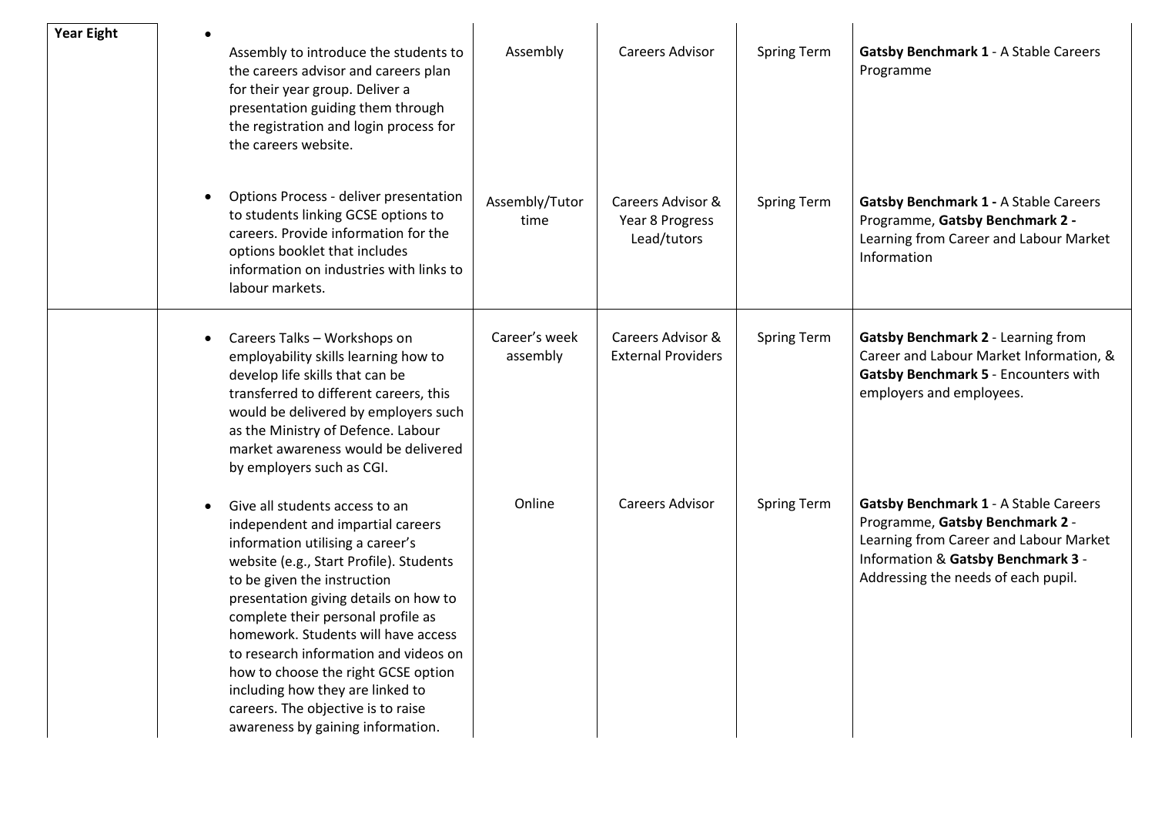| <b>Year Eight</b> |           | Assembly to introduce the students to<br>the careers advisor and careers plan<br>for their year group. Deliver a<br>presentation guiding them through<br>the registration and login process for<br>the careers website.                                                                                                                                                                                                                                                                                | Assembly                  | Careers Advisor                                     | <b>Spring Term</b> | <b>Gatsby Benchmark 1 - A Stable Careers</b><br>Programme                                                                                                                                              |
|-------------------|-----------|--------------------------------------------------------------------------------------------------------------------------------------------------------------------------------------------------------------------------------------------------------------------------------------------------------------------------------------------------------------------------------------------------------------------------------------------------------------------------------------------------------|---------------------------|-----------------------------------------------------|--------------------|--------------------------------------------------------------------------------------------------------------------------------------------------------------------------------------------------------|
|                   | $\bullet$ | Options Process - deliver presentation<br>to students linking GCSE options to<br>careers. Provide information for the<br>options booklet that includes<br>information on industries with links to<br>labour markets.                                                                                                                                                                                                                                                                                   | Assembly/Tutor<br>time    | Careers Advisor &<br>Year 8 Progress<br>Lead/tutors | <b>Spring Term</b> | <b>Gatsby Benchmark 1 - A Stable Careers</b><br>Programme, Gatsby Benchmark 2 -<br>Learning from Career and Labour Market<br>Information                                                               |
|                   | $\bullet$ | Careers Talks - Workshops on<br>employability skills learning how to<br>develop life skills that can be<br>transferred to different careers, this<br>would be delivered by employers such<br>as the Ministry of Defence. Labour<br>market awareness would be delivered<br>by employers such as CGI.                                                                                                                                                                                                    | Career's week<br>assembly | Careers Advisor &<br><b>External Providers</b>      | <b>Spring Term</b> | Gatsby Benchmark 2 - Learning from<br>Career and Labour Market Information, &<br>Gatsby Benchmark 5 - Encounters with<br>employers and employees.                                                      |
|                   | $\bullet$ | Give all students access to an<br>independent and impartial careers<br>information utilising a career's<br>website (e.g., Start Profile). Students<br>to be given the instruction<br>presentation giving details on how to<br>complete their personal profile as<br>homework. Students will have access<br>to research information and videos on<br>how to choose the right GCSE option<br>including how they are linked to<br>careers. The objective is to raise<br>awareness by gaining information. | Online                    | Careers Advisor                                     | <b>Spring Term</b> | <b>Gatsby Benchmark 1 - A Stable Careers</b><br>Programme, Gatsby Benchmark 2 -<br>Learning from Career and Labour Market<br>Information & Gatsby Benchmark 3 -<br>Addressing the needs of each pupil. |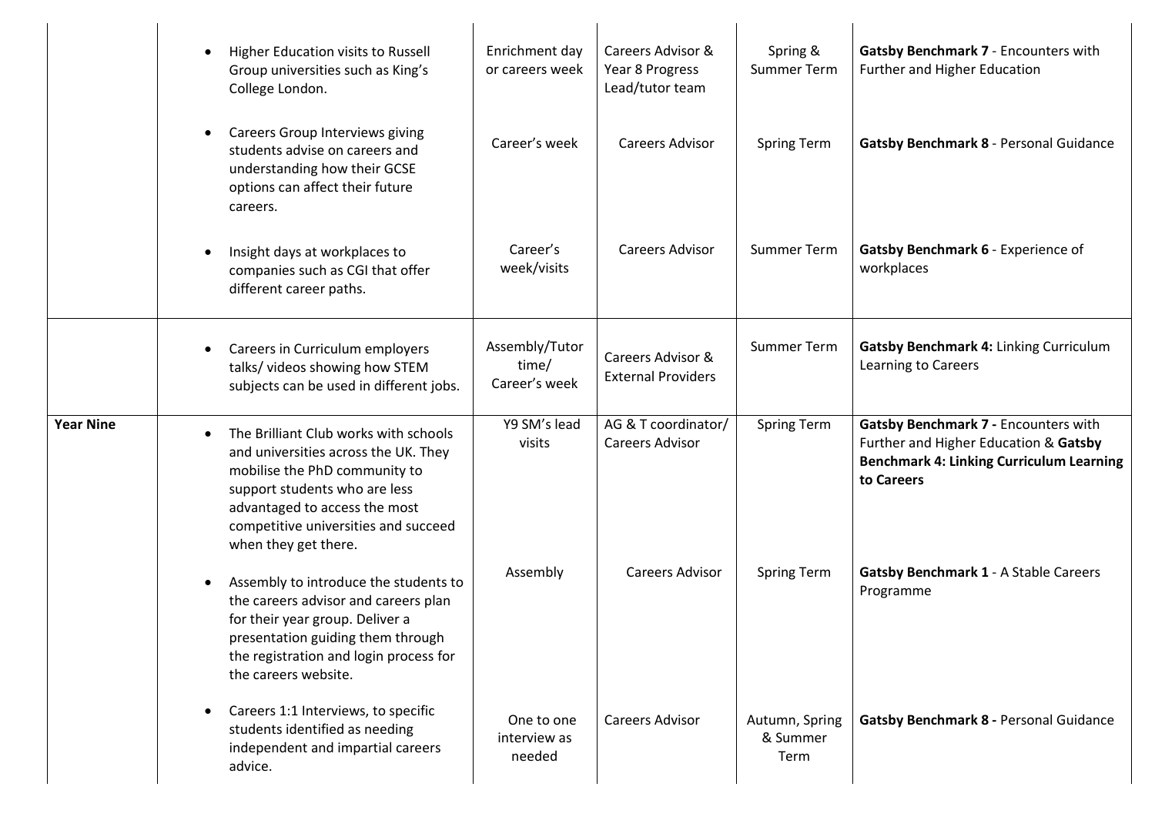|                  | Higher Education visits to Russell<br>$\bullet$<br>Group universities such as King's<br>College London.                                                                                                                                                       | Enrichment day<br>or careers week        | Careers Advisor &<br>Year 8 Progress<br>Lead/tutor team | Spring &<br><b>Summer Term</b>     | Gatsby Benchmark 7 - Encounters with<br>Further and Higher Education                                                                           |
|------------------|---------------------------------------------------------------------------------------------------------------------------------------------------------------------------------------------------------------------------------------------------------------|------------------------------------------|---------------------------------------------------------|------------------------------------|------------------------------------------------------------------------------------------------------------------------------------------------|
|                  | <b>Careers Group Interviews giving</b><br>$\bullet$<br>students advise on careers and<br>understanding how their GCSE<br>options can affect their future<br>careers.                                                                                          | Career's week                            | <b>Careers Advisor</b>                                  | Spring Term                        | Gatsby Benchmark 8 - Personal Guidance                                                                                                         |
|                  | Insight days at workplaces to<br>$\bullet$<br>companies such as CGI that offer<br>different career paths.                                                                                                                                                     | Career's<br>week/visits                  | <b>Careers Advisor</b>                                  | <b>Summer Term</b>                 | Gatsby Benchmark 6 - Experience of<br>workplaces                                                                                               |
|                  | Careers in Curriculum employers<br>$\bullet$<br>talks/ videos showing how STEM<br>subjects can be used in different jobs.                                                                                                                                     | Assembly/Tutor<br>time/<br>Career's week | Careers Advisor &<br><b>External Providers</b>          | <b>Summer Term</b>                 | Gatsby Benchmark 4: Linking Curriculum<br>Learning to Careers                                                                                  |
| <b>Year Nine</b> | The Brilliant Club works with schools<br>$\bullet$<br>and universities across the UK. They<br>mobilise the PhD community to<br>support students who are less<br>advantaged to access the most<br>competitive universities and succeed<br>when they get there. | Y9 SM's lead<br>visits                   | AG & T coordinator/<br><b>Careers Advisor</b>           | <b>Spring Term</b>                 | Gatsby Benchmark 7 - Encounters with<br>Further and Higher Education & Gatsby<br><b>Benchmark 4: Linking Curriculum Learning</b><br>to Careers |
|                  | Assembly to introduce the students to<br>$\bullet$<br>the careers advisor and careers plan<br>for their year group. Deliver a<br>presentation guiding them through<br>the registration and login process for<br>the careers website.                          | Assembly                                 | <b>Careers Advisor</b>                                  | <b>Spring Term</b>                 | <b>Gatsby Benchmark 1 - A Stable Careers</b><br>Programme                                                                                      |
|                  | Careers 1:1 Interviews, to specific<br>$\bullet$<br>students identified as needing<br>independent and impartial careers<br>advice.                                                                                                                            | One to one<br>interview as<br>needed     | <b>Careers Advisor</b>                                  | Autumn, Spring<br>& Summer<br>Term | Gatsby Benchmark 8 - Personal Guidance                                                                                                         |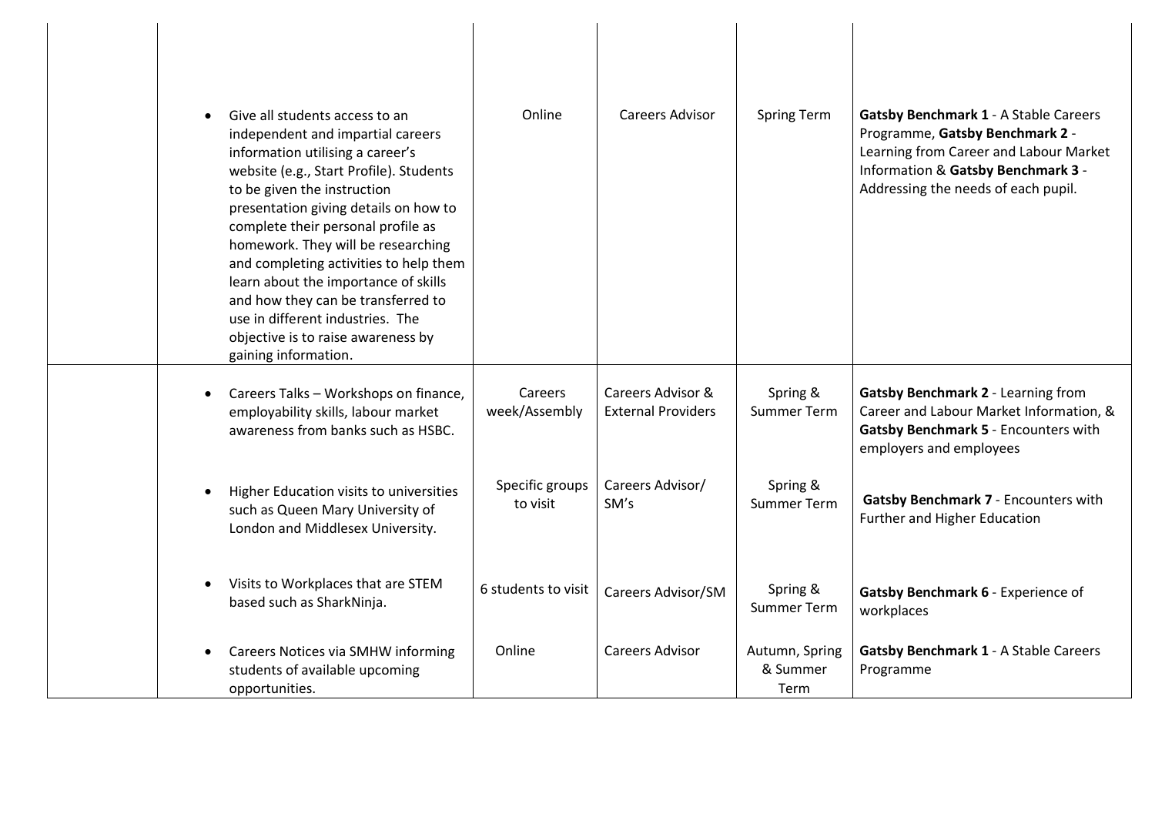| Give all students access to an<br>$\bullet$<br>independent and impartial careers<br>information utilising a career's<br>website (e.g., Start Profile). Students<br>to be given the instruction<br>presentation giving details on how to<br>complete their personal profile as<br>homework. They will be researching<br>and completing activities to help them<br>learn about the importance of skills<br>and how they can be transferred to<br>use in different industries. The<br>objective is to raise awareness by<br>gaining information. | Online                      | Careers Advisor                                | Spring Term                        | <b>Gatsby Benchmark 1 - A Stable Careers</b><br>Programme, Gatsby Benchmark 2 -<br>Learning from Career and Labour Market<br>Information & Gatsby Benchmark 3 -<br>Addressing the needs of each pupil. |
|-----------------------------------------------------------------------------------------------------------------------------------------------------------------------------------------------------------------------------------------------------------------------------------------------------------------------------------------------------------------------------------------------------------------------------------------------------------------------------------------------------------------------------------------------|-----------------------------|------------------------------------------------|------------------------------------|--------------------------------------------------------------------------------------------------------------------------------------------------------------------------------------------------------|
| Careers Talks - Workshops on finance,<br>$\bullet$<br>employability skills, labour market<br>awareness from banks such as HSBC.                                                                                                                                                                                                                                                                                                                                                                                                               | Careers<br>week/Assembly    | Careers Advisor &<br><b>External Providers</b> | Spring &<br><b>Summer Term</b>     | Gatsby Benchmark 2 - Learning from<br>Career and Labour Market Information, &<br>Gatsby Benchmark 5 - Encounters with<br>employers and employees                                                       |
| Higher Education visits to universities<br>$\bullet$<br>such as Queen Mary University of<br>London and Middlesex University.                                                                                                                                                                                                                                                                                                                                                                                                                  | Specific groups<br>to visit | Careers Advisor/<br>SM's                       | Spring &<br><b>Summer Term</b>     | Gatsby Benchmark 7 - Encounters with<br><b>Further and Higher Education</b>                                                                                                                            |
| Visits to Workplaces that are STEM<br>based such as SharkNinja.                                                                                                                                                                                                                                                                                                                                                                                                                                                                               | 6 students to visit         | Careers Advisor/SM                             | Spring &<br><b>Summer Term</b>     | Gatsby Benchmark 6 - Experience of<br>workplaces                                                                                                                                                       |
| Careers Notices via SMHW informing<br>$\bullet$<br>students of available upcoming<br>opportunities.                                                                                                                                                                                                                                                                                                                                                                                                                                           | Online                      | <b>Careers Advisor</b>                         | Autumn, Spring<br>& Summer<br>Term | <b>Gatsby Benchmark 1 - A Stable Careers</b><br>Programme                                                                                                                                              |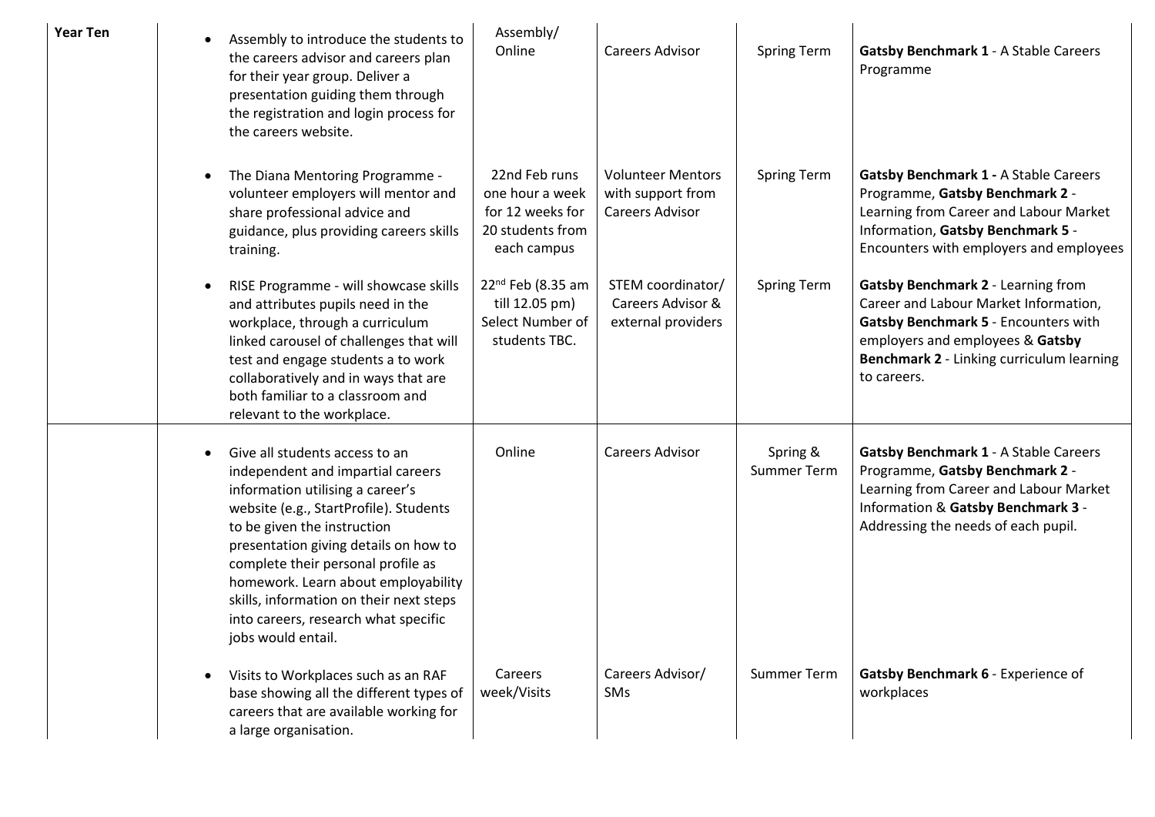| Year Ten | Assembly to introduce the students to<br>$\bullet$<br>the careers advisor and careers plan<br>for their year group. Deliver a<br>presentation guiding them through<br>the registration and login process for<br>the careers website.                                                                                                                                                                                         | Assembly/<br>Online                                                                     | <b>Careers Advisor</b>                                                  | <b>Spring Term</b>      | <b>Gatsby Benchmark 1 - A Stable Careers</b><br>Programme                                                                                                                                                           |
|----------|------------------------------------------------------------------------------------------------------------------------------------------------------------------------------------------------------------------------------------------------------------------------------------------------------------------------------------------------------------------------------------------------------------------------------|-----------------------------------------------------------------------------------------|-------------------------------------------------------------------------|-------------------------|---------------------------------------------------------------------------------------------------------------------------------------------------------------------------------------------------------------------|
|          | The Diana Mentoring Programme -<br>$\bullet$<br>volunteer employers will mentor and<br>share professional advice and<br>guidance, plus providing careers skills<br>training.                                                                                                                                                                                                                                                 | 22nd Feb runs<br>one hour a week<br>for 12 weeks for<br>20 students from<br>each campus | <b>Volunteer Mentors</b><br>with support from<br><b>Careers Advisor</b> | Spring Term             | <b>Gatsby Benchmark 1 - A Stable Careers</b><br>Programme, Gatsby Benchmark 2 -<br>Learning from Career and Labour Market<br>Information, Gatsby Benchmark 5 -<br>Encounters with employers and employees           |
|          | RISE Programme - will showcase skills<br>$\bullet$<br>and attributes pupils need in the<br>workplace, through a curriculum<br>linked carousel of challenges that will<br>test and engage students a to work<br>collaboratively and in ways that are<br>both familiar to a classroom and<br>relevant to the workplace.                                                                                                        | $22^{nd}$ Feb (8.35 am<br>till 12.05 pm)<br>Select Number of<br>students TBC.           | STEM coordinator/<br>Careers Advisor &<br>external providers            | <b>Spring Term</b>      | Gatsby Benchmark 2 - Learning from<br>Career and Labour Market Information,<br>Gatsby Benchmark 5 - Encounters with<br>employers and employees & Gatsby<br>Benchmark 2 - Linking curriculum learning<br>to careers. |
|          | Give all students access to an<br>$\bullet$<br>independent and impartial careers<br>information utilising a career's<br>website (e.g., StartProfile). Students<br>to be given the instruction<br>presentation giving details on how to<br>complete their personal profile as<br>homework. Learn about employability<br>skills, information on their next steps<br>into careers, research what specific<br>jobs would entail. | Online                                                                                  | <b>Careers Advisor</b>                                                  | Spring &<br>Summer Term | <b>Gatsby Benchmark 1 - A Stable Careers</b><br>Programme, Gatsby Benchmark 2 -<br>Learning from Career and Labour Market<br>Information & Gatsby Benchmark 3 -<br>Addressing the needs of each pupil.              |
|          | Visits to Workplaces such as an RAF<br>$\bullet$<br>base showing all the different types of<br>careers that are available working for<br>a large organisation.                                                                                                                                                                                                                                                               | Careers<br>week/Visits                                                                  | Careers Advisor/<br>SMs                                                 | <b>Summer Term</b>      | Gatsby Benchmark 6 - Experience of<br>workplaces                                                                                                                                                                    |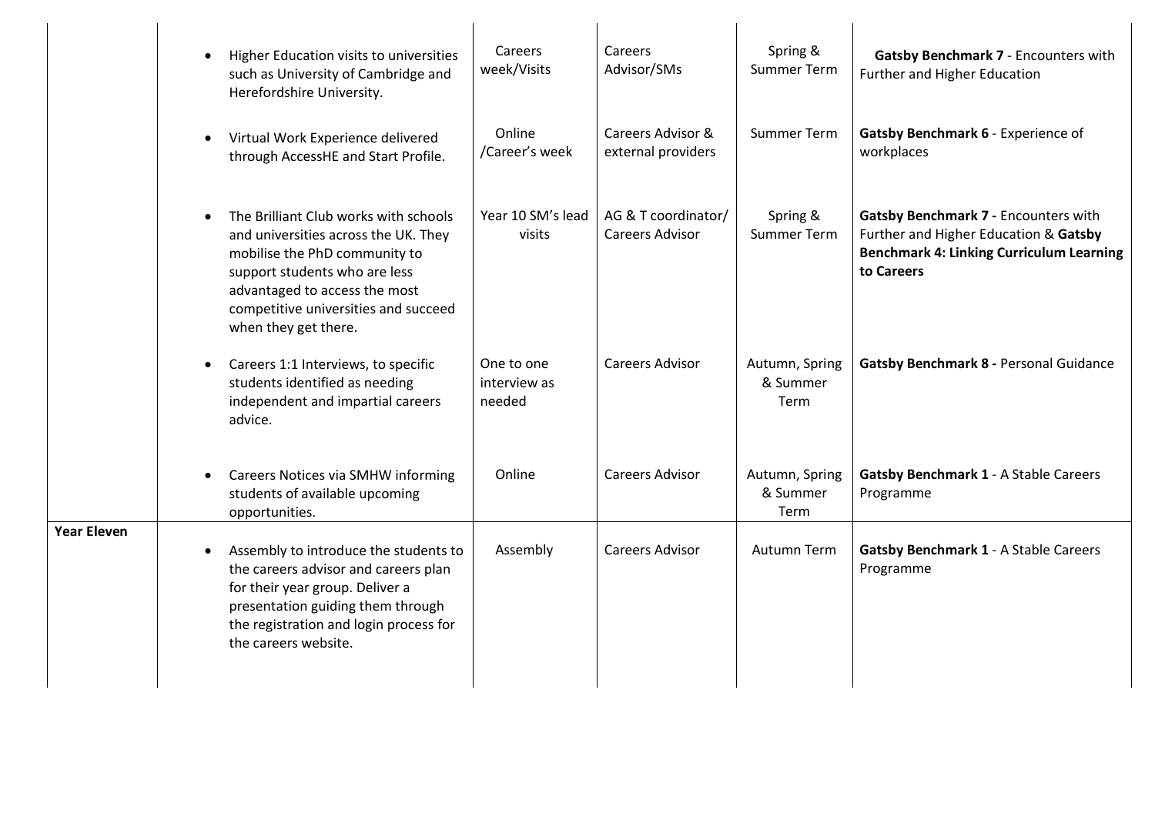|                    | Higher Education visits to universities<br>$\bullet$<br>such as University of Cambridge and<br>Herefordshire University.                                                                                                                                      | Careers<br>week/Visits               | Careers<br>Advisor/SMs                        | Spring &<br><b>Summer Term</b>     | Gatsby Benchmark 7 - Encounters with<br>Further and Higher Education                                                                           |
|--------------------|---------------------------------------------------------------------------------------------------------------------------------------------------------------------------------------------------------------------------------------------------------------|--------------------------------------|-----------------------------------------------|------------------------------------|------------------------------------------------------------------------------------------------------------------------------------------------|
|                    | Virtual Work Experience delivered<br>$\bullet$<br>through AccessHE and Start Profile.                                                                                                                                                                         | Online<br>/Career's week             | Careers Advisor &<br>external providers       | <b>Summer Term</b>                 | Gatsby Benchmark 6 - Experience of<br>workplaces                                                                                               |
|                    | The Brilliant Club works with schools<br>$\bullet$<br>and universities across the UK. They<br>mobilise the PhD community to<br>support students who are less<br>advantaged to access the most<br>competitive universities and succeed<br>when they get there. | Year 10 SM's lead<br>visits          | AG & T coordinator/<br><b>Careers Advisor</b> | Spring &<br><b>Summer Term</b>     | Gatsby Benchmark 7 - Encounters with<br>Further and Higher Education & Gatsby<br><b>Benchmark 4: Linking Curriculum Learning</b><br>to Careers |
|                    | Careers 1:1 Interviews, to specific<br>$\bullet$<br>students identified as needing<br>independent and impartial careers<br>advice.                                                                                                                            | One to one<br>interview as<br>needed | <b>Careers Advisor</b>                        | Autumn, Spring<br>& Summer<br>Term | Gatsby Benchmark 8 - Personal Guidance                                                                                                         |
|                    | <b>Careers Notices via SMHW informing</b><br>$\bullet$<br>students of available upcoming<br>opportunities.                                                                                                                                                    | Online                               | <b>Careers Advisor</b>                        | Autumn, Spring<br>& Summer<br>Term | Gatsby Benchmark 1 - A Stable Careers<br>Programme                                                                                             |
| <b>Year Eleven</b> | Assembly to introduce the students to<br>$\bullet$<br>the careers advisor and careers plan<br>for their year group. Deliver a<br>presentation guiding them through<br>the registration and login process for<br>the careers website.                          | Assembly                             | <b>Careers Advisor</b>                        | Autumn Term                        | <b>Gatsby Benchmark 1 - A Stable Careers</b><br>Programme                                                                                      |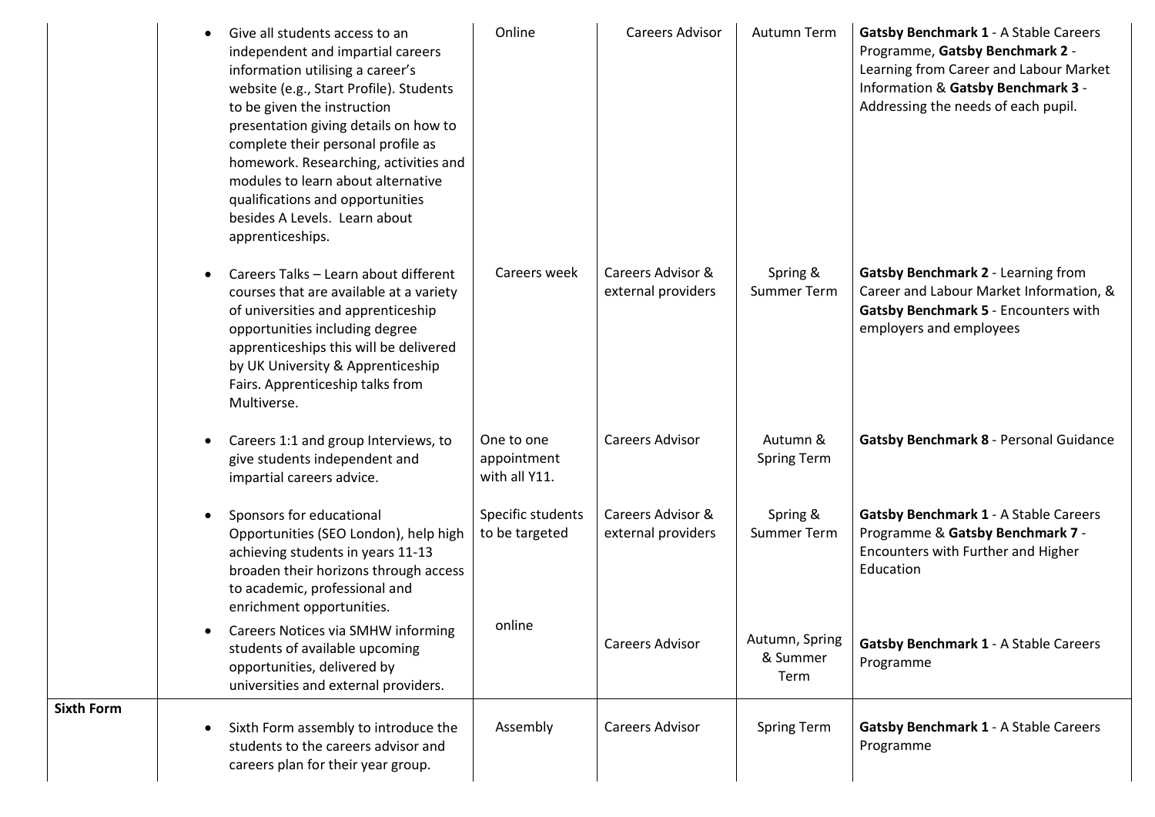| Give all students access to an<br>independent and impartial careers<br>information utilising a career's<br>website (e.g., Start Profile). Students<br>to be given the instruction<br>presentation giving details on how to<br>complete their personal profile as<br>homework. Researching, activities and<br>modules to learn about alternative<br>qualifications and opportunities<br>besides A Levels. Learn about<br>apprenticeships. | Online                                     | <b>Careers Advisor</b>                  | Autumn Term                        | <b>Gatsby Benchmark 1 - A Stable Careers</b><br>Programme, Gatsby Benchmark 2 -<br>Learning from Career and Labour Market<br>Information & Gatsby Benchmark 3 -<br>Addressing the needs of each pupil. |
|------------------------------------------------------------------------------------------------------------------------------------------------------------------------------------------------------------------------------------------------------------------------------------------------------------------------------------------------------------------------------------------------------------------------------------------|--------------------------------------------|-----------------------------------------|------------------------------------|--------------------------------------------------------------------------------------------------------------------------------------------------------------------------------------------------------|
| Careers Talks - Learn about different<br>courses that are available at a variety<br>of universities and apprenticeship<br>opportunities including degree<br>apprenticeships this will be delivered<br>by UK University & Apprenticeship<br>Fairs. Apprenticeship talks from<br>Multiverse.                                                                                                                                               | Careers week                               | Careers Advisor &<br>external providers | Spring &<br><b>Summer Term</b>     | Gatsby Benchmark 2 - Learning from<br>Career and Labour Market Information, &<br>Gatsby Benchmark 5 - Encounters with<br>employers and employees                                                       |
| Careers 1:1 and group Interviews, to<br>give students independent and<br>impartial careers advice.                                                                                                                                                                                                                                                                                                                                       | One to one<br>appointment<br>with all Y11. | <b>Careers Advisor</b>                  | Autumn &<br><b>Spring Term</b>     | Gatsby Benchmark 8 - Personal Guidance                                                                                                                                                                 |
| Sponsors for educational<br>Opportunities (SEO London), help high<br>achieving students in years 11-13<br>broaden their horizons through access<br>to academic, professional and<br>enrichment opportunities.                                                                                                                                                                                                                            | Specific students<br>to be targeted        | Careers Advisor &<br>external providers | Spring &<br><b>Summer Term</b>     | <b>Gatsby Benchmark 1 - A Stable Careers</b><br>Programme & Gatsby Benchmark 7 -<br>Encounters with Further and Higher<br>Education                                                                    |
| Careers Notices via SMHW informing<br>students of available upcoming<br>opportunities, delivered by<br>universities and external providers.                                                                                                                                                                                                                                                                                              | online                                     | <b>Careers Advisor</b>                  | Autumn, Spring<br>& Summer<br>Term | <b>Gatsby Benchmark 1 - A Stable Careers</b><br>Programme                                                                                                                                              |
| Sixth Form assembly to introduce the<br>students to the careers advisor and<br>careers plan for their year group.                                                                                                                                                                                                                                                                                                                        | Assembly                                   | <b>Careers Advisor</b>                  | <b>Spring Term</b>                 | <b>Gatsby Benchmark 1 - A Stable Careers</b><br>Programme                                                                                                                                              |

**Sixth Form**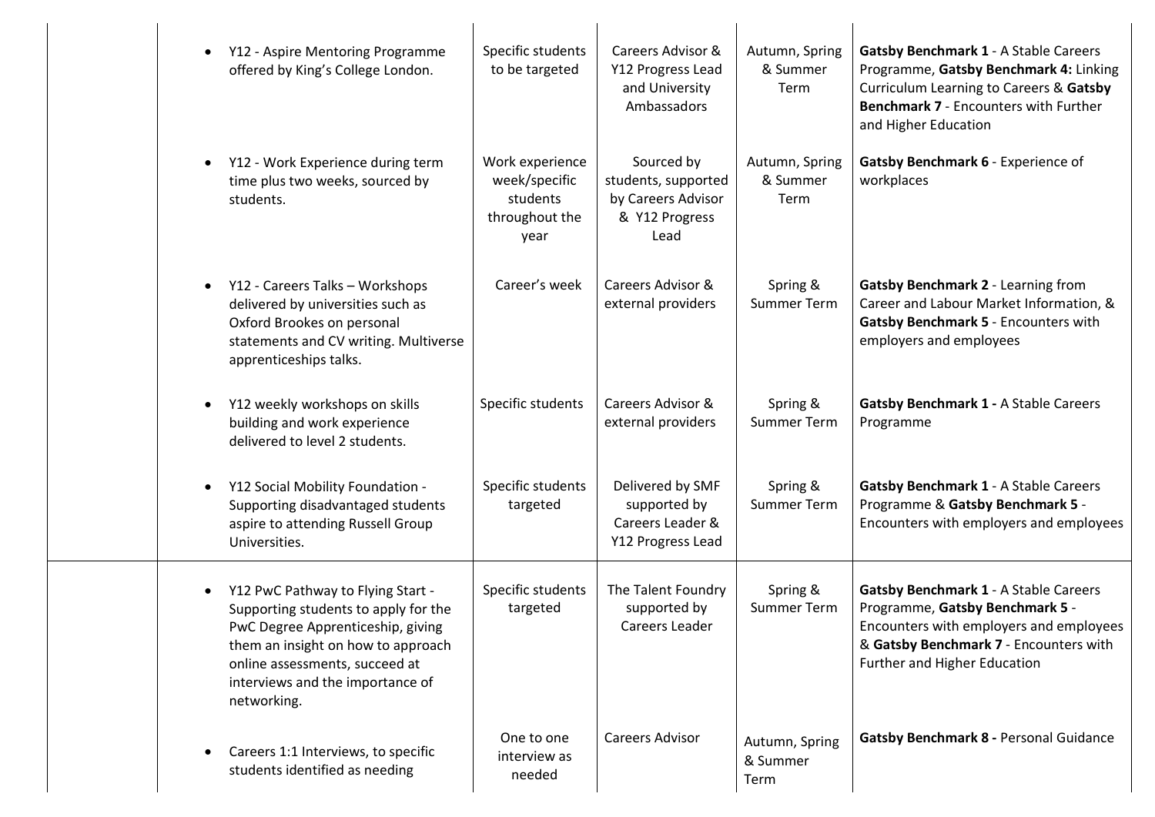| $\bullet$ | Y12 - Aspire Mentoring Programme<br>offered by King's College London.                                                                                                                                                                     | Specific students<br>to be targeted                                    | Careers Advisor &<br>Y12 Progress Lead<br>and University<br>Ambassadors           | Autumn, Spring<br>& Summer<br>Term | <b>Gatsby Benchmark 1 - A Stable Careers</b><br>Programme, Gatsby Benchmark 4: Linking<br>Curriculum Learning to Careers & Gatsby<br><b>Benchmark 7 - Encounters with Further</b><br>and Higher Education |
|-----------|-------------------------------------------------------------------------------------------------------------------------------------------------------------------------------------------------------------------------------------------|------------------------------------------------------------------------|-----------------------------------------------------------------------------------|------------------------------------|-----------------------------------------------------------------------------------------------------------------------------------------------------------------------------------------------------------|
| $\bullet$ | Y12 - Work Experience during term<br>time plus two weeks, sourced by<br>students.                                                                                                                                                         | Work experience<br>week/specific<br>students<br>throughout the<br>year | Sourced by<br>students, supported<br>by Careers Advisor<br>& Y12 Progress<br>Lead | Autumn, Spring<br>& Summer<br>Term | Gatsby Benchmark 6 - Experience of<br>workplaces                                                                                                                                                          |
| $\bullet$ | Y12 - Careers Talks - Workshops<br>delivered by universities such as<br>Oxford Brookes on personal<br>statements and CV writing. Multiverse<br>apprenticeships talks.                                                                     | Career's week                                                          | Careers Advisor &<br>external providers                                           | Spring &<br><b>Summer Term</b>     | Gatsby Benchmark 2 - Learning from<br>Career and Labour Market Information, &<br>Gatsby Benchmark 5 - Encounters with<br>employers and employees                                                          |
| $\bullet$ | Y12 weekly workshops on skills<br>building and work experience<br>delivered to level 2 students.                                                                                                                                          | Specific students                                                      | Careers Advisor &<br>external providers                                           | Spring &<br><b>Summer Term</b>     | <b>Gatsby Benchmark 1 - A Stable Careers</b><br>Programme                                                                                                                                                 |
| $\bullet$ | Y12 Social Mobility Foundation -<br>Supporting disadvantaged students<br>aspire to attending Russell Group<br>Universities.                                                                                                               | Specific students<br>targeted                                          | Delivered by SMF<br>supported by<br>Careers Leader &<br>Y12 Progress Lead         | Spring &<br><b>Summer Term</b>     | <b>Gatsby Benchmark 1 - A Stable Careers</b><br>Programme & Gatsby Benchmark 5 -<br>Encounters with employers and employees                                                                               |
| $\bullet$ | Y12 PwC Pathway to Flying Start -<br>Supporting students to apply for the<br>PwC Degree Apprenticeship, giving<br>them an insight on how to approach<br>online assessments, succeed at<br>interviews and the importance of<br>networking. | Specific students<br>targeted                                          | The Talent Foundry<br>supported by<br>Careers Leader                              | Spring &<br><b>Summer Term</b>     | <b>Gatsby Benchmark 1 - A Stable Careers</b><br>Programme, Gatsby Benchmark 5 -<br>Encounters with employers and employees<br>& Gatsby Benchmark 7 - Encounters with<br>Further and Higher Education      |
| $\bullet$ | Careers 1:1 Interviews, to specific<br>students identified as needing                                                                                                                                                                     | One to one<br>interview as<br>needed                                   | <b>Careers Advisor</b>                                                            | Autumn, Spring<br>& Summer<br>Term | Gatsby Benchmark 8 - Personal Guidance                                                                                                                                                                    |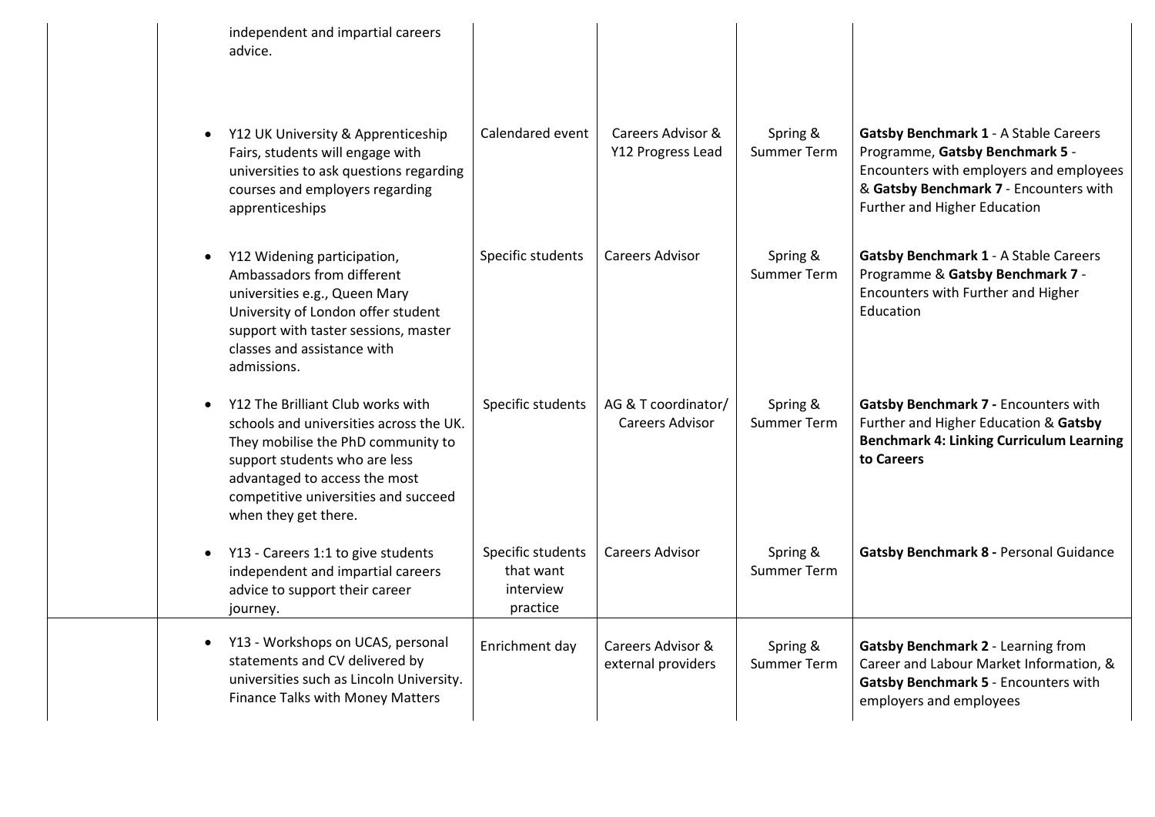| independent and impartial careers<br>advice.                                                                                                                                                                                                         |                                                         |                                               |                                |                                                                                                                                                                                                      |
|------------------------------------------------------------------------------------------------------------------------------------------------------------------------------------------------------------------------------------------------------|---------------------------------------------------------|-----------------------------------------------|--------------------------------|------------------------------------------------------------------------------------------------------------------------------------------------------------------------------------------------------|
| Y12 UK University & Apprenticeship<br>Fairs, students will engage with<br>universities to ask questions regarding<br>courses and employers regarding<br>apprenticeships                                                                              | Calendared event                                        | Careers Advisor &<br>Y12 Progress Lead        | Spring &<br><b>Summer Term</b> | <b>Gatsby Benchmark 1 - A Stable Careers</b><br>Programme, Gatsby Benchmark 5 -<br>Encounters with employers and employees<br>& Gatsby Benchmark 7 - Encounters with<br>Further and Higher Education |
| Y12 Widening participation,<br>Ambassadors from different<br>universities e.g., Queen Mary<br>University of London offer student<br>support with taster sessions, master<br>classes and assistance with<br>admissions.                               | Specific students                                       | Careers Advisor                               | Spring &<br><b>Summer Term</b> | <b>Gatsby Benchmark 1 - A Stable Careers</b><br>Programme & Gatsby Benchmark 7 -<br>Encounters with Further and Higher<br>Education                                                                  |
| Y12 The Brilliant Club works with<br>schools and universities across the UK.<br>They mobilise the PhD community to<br>support students who are less<br>advantaged to access the most<br>competitive universities and succeed<br>when they get there. | Specific students                                       | AG & T coordinator/<br><b>Careers Advisor</b> | Spring &<br>Summer Term        | Gatsby Benchmark 7 - Encounters with<br>Further and Higher Education & Gatsby<br><b>Benchmark 4: Linking Curriculum Learning</b><br>to Careers                                                       |
| Y13 - Careers 1:1 to give students<br>independent and impartial careers<br>advice to support their career<br>journey.                                                                                                                                | Specific students<br>that want<br>interview<br>practice | <b>Careers Advisor</b>                        | Spring &<br><b>Summer Term</b> | Gatsby Benchmark 8 - Personal Guidance                                                                                                                                                               |
| Y13 - Workshops on UCAS, personal<br>statements and CV delivered by<br>universities such as Lincoln University.<br>Finance Talks with Money Matters                                                                                                  | Enrichment day                                          | Careers Advisor &<br>external providers       | Spring &<br>Summer Term        | Gatsby Benchmark 2 - Learning from<br>Career and Labour Market Information, &<br>Gatsby Benchmark 5 - Encounters with<br>employers and employees                                                     |